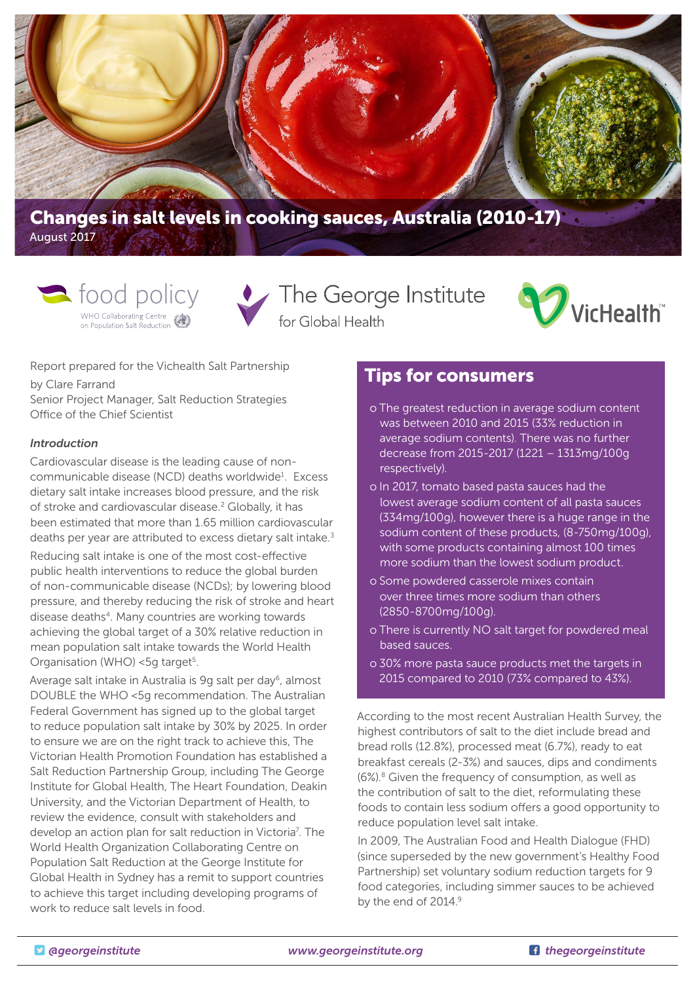

August 2017



The George Institute for Global Health



Report prepared for the Vichealth Salt Partnership by Clare Farrand Senior Project Manager, Salt Reduction Strategies Office of the Chief Scientist

#### *Introduction*

Cardiovascular disease is the leading cause of noncommunicable disease (NCD) deaths worldwide<sup>1</sup>. Excess dietary salt intake increases blood pressure, and the risk of stroke and cardiovascular disease.<sup>2</sup> Globally, it has been estimated that more than 1.65 million cardiovascular deaths per year are attributed to excess dietary salt intake.<sup>3</sup>

Reducing salt intake is one of the most cost-effective public health interventions to reduce the global burden of non-communicable disease (NCDs); by lowering blood pressure, and thereby reducing the risk of stroke and heart disease deaths<sup>4</sup>. Many countries are working towards achieving the global target of a 30% relative reduction in mean population salt intake towards the World Health Organisation (WHO) <5g target<sup>5</sup>.

Average salt intake in Australia is 9q salt per day<sup>6</sup>, almost DOUBLE the WHO <5g recommendation. The Australian Federal Government has signed up to the global target to reduce population salt intake by 30% by 2025. In order to ensure we are on the right track to achieve this, The Victorian Health Promotion Foundation has established a Salt Reduction Partnership Group, including The George Institute for Global Health, The Heart Foundation, Deakin University, and the Victorian Department of Health, to review the evidence, consult with stakeholders and develop an action plan for salt reduction in Victoria<sup>7</sup>. The World Health Organization Collaborating Centre on Population Salt Reduction at the George Institute for Global Health in Sydney has a remit to support countries to achieve this target including developing programs of work to reduce salt levels in food.

# Tips for consumers

- o The greatest reduction in average sodium content was between 2010 and 2015 (33% reduction in average sodium contents). There was no further decrease from 2015-2017 (1221 – 1313mg/100g respectively).
- o In 2017, tomato based pasta sauces had the lowest average sodium content of all pasta sauces (334mg/100g), however there is a huge range in the sodium content of these products, (8-750mg/100g), with some products containing almost 100 times more sodium than the lowest sodium product.
- o Some powdered casserole mixes contain over three times more sodium than others (2850-8700mg/100g).
- o There is currently NO salt target for powdered meal based sauces.
- o 30% more pasta sauce products met the targets in 2015 compared to 2010 (73% compared to 43%).

According to the most recent Australian Health Survey, the highest contributors of salt to the diet include bread and bread rolls (12.8%), processed meat (6.7%), ready to eat breakfast cereals (2-3%) and sauces, dips and condiments  $(6\%)$ .<sup>8</sup> Given the frequency of consumption, as well as the contribution of salt to the diet, reformulating these foods to contain less sodium offers a good opportunity to reduce population level salt intake.

In 2009, The Australian Food and Health Dialogue (FHD) (since superseded by the new government's Healthy Food Partnership) set voluntary sodium reduction targets for 9 food categories, including simmer sauces to be achieved by the end of 2014.9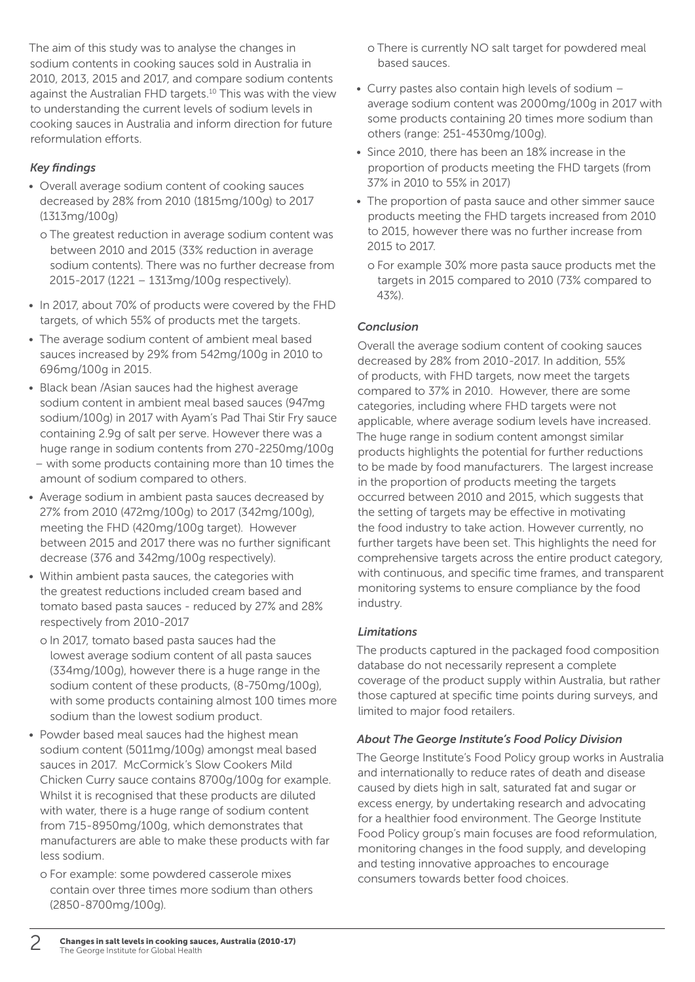The aim of this study was to analyse the changes in sodium contents in cooking sauces sold in Australia in 2010, 2013, 2015 and 2017, and compare sodium contents against the Australian FHD targets.<sup>10</sup> This was with the view to understanding the current levels of sodium levels in cooking sauces in Australia and inform direction for future reformulation efforts.

## *Key findings*

- Overall average sodium content of cooking sauces decreased by 28% from 2010 (1815mg/100g) to 2017 (1313mg/100g)
	- o The greatest reduction in average sodium content was between 2010 and 2015 (33% reduction in average sodium contents). There was no further decrease from 2015-2017 (1221 – 1313mg/100g respectively).
- In 2017, about 70% of products were covered by the FHD targets, of which 55% of products met the targets.
- The average sodium content of ambient meal based sauces increased by 29% from 542mg/100g in 2010 to 696mg/100g in 2015.
- Black bean /Asian sauces had the highest average sodium content in ambient meal based sauces (947mg sodium/100g) in 2017 with Ayam's Pad Thai Stir Fry sauce containing 2.9g of salt per serve. However there was a huge range in sodium contents from 270-2250mg/100g
- with some products containing more than 10 times the amount of sodium compared to others.
- Average sodium in ambient pasta sauces decreased by 27% from 2010 (472mg/100g) to 2017 (342mg/100g), meeting the FHD (420mg/100g target). However between 2015 and 2017 there was no further significant decrease (376 and 342mg/100g respectively).
- Within ambient pasta sauces, the categories with the greatest reductions included cream based and tomato based pasta sauces - reduced by 27% and 28% respectively from 2010-2017
	- o In 2017, tomato based pasta sauces had the lowest average sodium content of all pasta sauces (334mg/100g), however there is a huge range in the sodium content of these products, (8-750mg/100g), with some products containing almost 100 times more sodium than the lowest sodium product.
- Powder based meal sauces had the highest mean sodium content (5011mg/100g) amongst meal based sauces in 2017. McCormick's Slow Cookers Mild Chicken Curry sauce contains 8700g/100g for example. Whilst it is recognised that these products are diluted with water, there is a huge range of sodium content from 715-8950mg/100g, which demonstrates that manufacturers are able to make these products with far less sodium.
	- o For example: some powdered casserole mixes contain over three times more sodium than others (2850-8700mg/100g).
- o There is currently NO salt target for powdered meal based sauces.
- Curry pastes also contain high levels of sodium average sodium content was 2000mg/100g in 2017 with some products containing 20 times more sodium than others (range: 251-4530mg/100g).
- Since 2010, there has been an 18% increase in the proportion of products meeting the FHD targets (from 37% in 2010 to 55% in 2017)
- The proportion of pasta sauce and other simmer sauce products meeting the FHD targets increased from 2010 to 2015, however there was no further increase from 2015 to 2017.
	- o For example 30% more pasta sauce products met the targets in 2015 compared to 2010 (73% compared to 43%).

# *Conclusion*

Overall the average sodium content of cooking sauces decreased by 28% from 2010-2017. In addition, 55% of products, with FHD targets, now meet the targets compared to 37% in 2010. However, there are some categories, including where FHD targets were not applicable, where average sodium levels have increased. The huge range in sodium content amongst similar products highlights the potential for further reductions to be made by food manufacturers. The largest increase in the proportion of products meeting the targets occurred between 2010 and 2015, which suggests that the setting of targets may be effective in motivating the food industry to take action. However currently, no further targets have been set. This highlights the need for comprehensive targets across the entire product category, with continuous, and specific time frames, and transparent monitoring systems to ensure compliance by the food industry.

## *Limitations*

The products captured in the packaged food composition database do not necessarily represent a complete coverage of the product supply within Australia, but rather those captured at specific time points during surveys, and limited to major food retailers.

## *About The George Institute's Food Policy Division*

The George Institute's Food Policy group works in Australia and internationally to reduce rates of death and disease caused by diets high in salt, saturated fat and sugar or excess energy, by undertaking research and advocating for a healthier food environment. The George Institute Food Policy group's main focuses are food reformulation, monitoring changes in the food supply, and developing and testing innovative approaches to encourage consumers towards better food choices.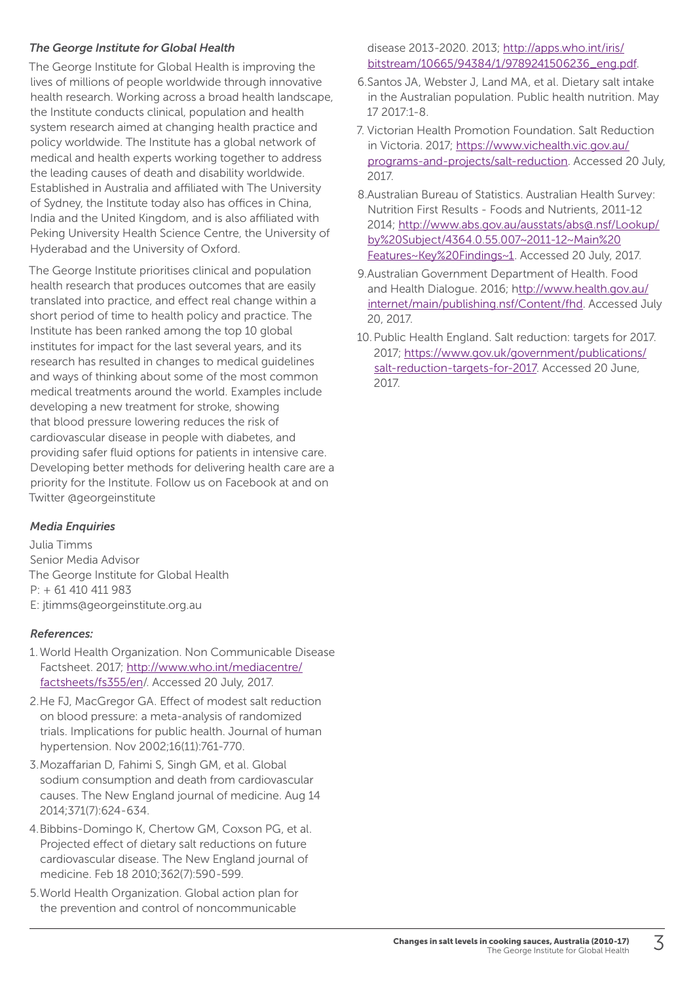## *The George Institute for Global Health*

The George Institute for Global Health is improving the lives of millions of people worldwide through innovative health research. Working across a broad health landscape, the Institute conducts clinical, population and health system research aimed at changing health practice and policy worldwide. The Institute has a global network of medical and health experts working together to address the leading causes of death and disability worldwide. Established in Australia and affiliated with The University of Sydney, the Institute today also has offices in China, India and the United Kingdom, and is also affiliated with Peking University Health Science Centre, the University of Hyderabad and the University of Oxford.

The George Institute prioritises clinical and population health research that produces outcomes that are easily translated into practice, and effect real change within a short period of time to health policy and practice. The Institute has been ranked among the top 10 global institutes for impact for the last several years, and its research has resulted in changes to medical guidelines and ways of thinking about some of the most common medical treatments around the world. Examples include developing a new treatment for stroke, showing that blood pressure lowering reduces the risk of cardiovascular disease in people with diabetes, and providing safer fluid options for patients in intensive care. Developing better methods for delivering health care are a priority for the Institute. Follow us on Facebook at and on Twitter @georgeinstitute

## *Media Enquiries*

Julia Timms Senior Media Advisor The George Institute for Global Health P: + 61 410 411 983 E: jtimms@georgeinstitute.org.au

## *References:*

- 1.World Health Organization. Non Communicable Disease Factsheet. 2017; [http://www.who.int/mediacentre/](http://www.who.int/mediacentre/factsheets/fs355/en) [factsheets/fs355/en/](http://www.who.int/mediacentre/factsheets/fs355/en). Accessed 20 July, 2017.
- 2.He FJ, MacGregor GA. Effect of modest salt reduction on blood pressure: a meta-analysis of randomized trials. Implications for public health. Journal of human hypertension. Nov 2002;16(11):761-770.
- 3.Mozaffarian D, Fahimi S, Singh GM, et al. Global sodium consumption and death from cardiovascular causes. The New England journal of medicine. Aug 14 2014;371(7):624-634.
- 4.Bibbins-Domingo K, Chertow GM, Coxson PG, et al. Projected effect of dietary salt reductions on future cardiovascular disease. The New England journal of medicine. Feb 18 2010;362(7):590-599.
- 5.World Health Organization. Global action plan for the prevention and control of noncommunicable

disease 2013-2020. 2013; [http://apps.who.int/iris/](http://apps.who.int/iris/bitstream/10665/94384/1/9789241506236_eng.pdf) [bitstream/10665/94384/1/9789241506236\\_eng.pdf](http://apps.who.int/iris/bitstream/10665/94384/1/9789241506236_eng.pdf).

- 6.Santos JA, Webster J, Land MA, et al. Dietary salt intake in the Australian population. Public health nutrition. May 17 2017:1-8.
- 7. Victorian Health Promotion Foundation. Salt Reduction in Victoria. 2017; [https://www.vichealth.vic.gov.au/](https://www.vichealth.vic.gov.au/programs-and-projects/salt-reduction) [programs-and-projects/salt-reduction](https://www.vichealth.vic.gov.au/programs-and-projects/salt-reduction). Accessed 20 July, 2017.
- 8.Australian Bureau of Statistics. Australian Health Survey: Nutrition First Results - Foods and Nutrients, 2011-12 2014; [http://www.abs.gov.au/ausstats/abs@.nsf/Lookup/](http://www.abs.gov.au/ausstats/abs@.nsf/Lookup/by%20Subject/4364.0.55.007~2011-12~Main%20Features~Ke) [by%20Subject/4364.0.55.007~2011-12~Main%20](http://www.abs.gov.au/ausstats/abs@.nsf/Lookup/by%20Subject/4364.0.55.007~2011-12~Main%20Features~Ke) [Features~Key%20Findings~1.](http://www.abs.gov.au/ausstats/abs@.nsf/Lookup/by%20Subject/4364.0.55.007~2011-12~Main%20Features~Ke) Accessed 20 July, 2017.
- 9.Australian Government Department of Health. Food and Health Dialogue. 2016; [http://www.health.gov.au/](ttp://www.health.gov.au/internet/main/publishing.nsf/Content/fhd) [internet/main/publishing.nsf/Content/fhd](ttp://www.health.gov.au/internet/main/publishing.nsf/Content/fhd). Accessed July 20, 2017.
- 10.Public Health England. Salt reduction: targets for 2017. 2017; [https://www.gov.uk/government/publications/](https://www.gov.uk/government/publications/salt-reduction-targets-for-2017) [salt-reduction-targets-for-2017.](https://www.gov.uk/government/publications/salt-reduction-targets-for-2017) Accessed 20 June, 2017.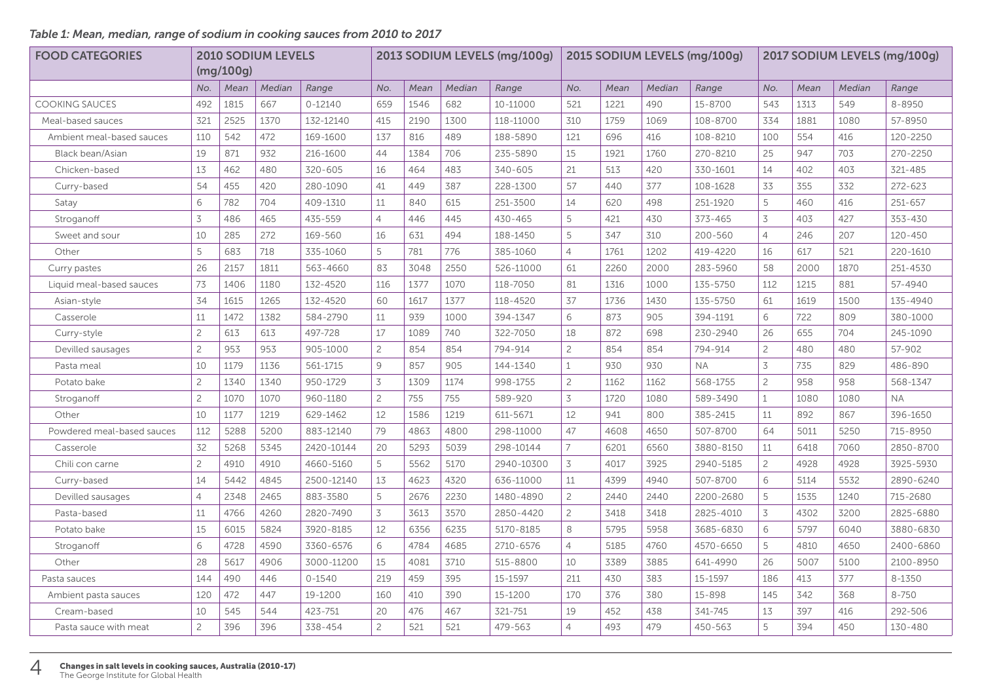## *Table 1: Mean, median, range of sodium in cooking sauces from 2010 to 2017*

| <b>FOOD CATEGORIES</b>     | <b>2010 SODIUM LEVELS</b> |           |        | 2013 SODIUM LEVELS (mg/100g) |                |      |        | 2015 SODIUM LEVELS (mg/100g) |                |      |        | 2017 SODIUM LEVELS (mg/100g) |                |      |        |           |
|----------------------------|---------------------------|-----------|--------|------------------------------|----------------|------|--------|------------------------------|----------------|------|--------|------------------------------|----------------|------|--------|-----------|
|                            |                           | (mq/100q) |        |                              |                |      |        |                              |                |      |        |                              |                |      |        |           |
|                            | No.                       | Mean      | Median | Range                        | No.            | Mean | Median | Range                        | No.            | Mean | Median | Range                        | No.            | Mean | Median | Range     |
| <b>COOKING SAUCES</b>      | 492                       | 1815      | 667    | $0 - 12140$                  | 659            | 1546 | 682    | 10-11000                     | 521            | 1221 | 490    | 15-8700                      | 543            | 1313 | 549    | 8-8950    |
| Meal-based sauces          | 321                       | 2525      | 1370   | 132-12140                    | 415            | 2190 | 1300   | 118-11000                    | 310            | 1759 | 1069   | 108-8700                     | 334            | 1881 | 1080   | 57-8950   |
| Ambient meal-based sauces  | 110                       | 542       | 472    | 169-1600                     | 137            | 816  | 489    | 188-5890                     | 121            | 696  | 416    | 108-8210                     | 100            | 554  | 416    | 120-2250  |
| Black bean/Asian           | 19                        | 871       | 932    | 216-1600                     | 44             | 1384 | 706    | 235-5890                     | 15             | 1921 | 1760   | 270-8210                     | 25             | 947  | 703    | 270-2250  |
| Chicken-based              | 13                        | 462       | 480    | 320-605                      | 16             | 464  | 483    | 340-605                      | 21             | 513  | 420    | 330-1601                     | 14             | 402  | 403    | 321-485   |
| Curry-based                | 54                        | 455       | 420    | 280-1090                     | 41             | 449  | 387    | 228-1300                     | 57             | 440  | 377    | 108-1628                     | 33             | 355  | 332    | 272-623   |
| Satay                      | 6                         | 782       | 704    | 409-1310                     | 11             | 840  | 615    | 251-3500                     | 14             | 620  | 498    | 251-1920                     | 5              | 460  | 416    | 251-657   |
| Stroganoff                 | 3                         | 486       | 465    | 435-559                      | $\overline{4}$ | 446  | 445    | 430-465                      | 5              | 421  | 430    | 373-465                      | 3              | 403  | 427    | 353-430   |
| Sweet and sour             | 10                        | 285       | 272    | 169-560                      | 16             | 631  | 494    | 188-1450                     | 5              | 347  | 310    | 200-560                      | $\overline{4}$ | 246  | 207    | 120-450   |
| Other                      | 5                         | 683       | 718    | 335-1060                     | 5              | 781  | 776    | 385-1060                     | $\overline{4}$ | 1761 | 1202   | 419-4220                     | 16             | 617  | 521    | 220-1610  |
| Curry pastes               | 26                        | 2157      | 1811   | 563-4660                     | 83             | 3048 | 2550   | 526-11000                    | 61             | 2260 | 2000   | 283-5960                     | 58             | 2000 | 1870   | 251-4530  |
| Liquid meal-based sauces   | 73                        | 1406      | 1180   | 132-4520                     | 116            | 1377 | 1070   | 118-7050                     | 81             | 1316 | 1000   | 135-5750                     | 112            | 1215 | 881    | 57-4940   |
| Asian-style                | 34                        | 1615      | 1265   | 132-4520                     | 60             | 1617 | 1377   | 118-4520                     | 37             | 1736 | 1430   | 135-5750                     | 61             | 1619 | 1500   | 135-4940  |
| Casserole                  | 11                        | 1472      | 1382   | 584-2790                     | 11             | 939  | 1000   | 394-1347                     | 6              | 873  | 905    | 394-1191                     | 6              | 722  | 809    | 380-1000  |
| Curry-style                | $\overline{2}$            | 613       | 613    | 497-728                      | 17             | 1089 | 740    | 322-7050                     | 18             | 872  | 698    | 230-2940                     | 26             | 655  | 704    | 245-1090  |
| Devilled sausages          | $\overline{c}$            | 953       | 953    | 905-1000                     | $\overline{c}$ | 854  | 854    | 794-914                      | $\overline{c}$ | 854  | 854    | 794-914                      | $\overline{c}$ | 480  | 480    | 57-902    |
| Pasta meal                 | 10                        | 1179      | 1136   | 561-1715                     | 9              | 857  | 905    | 144-1340                     | $\mathbf{1}$   | 930  | 930    | <b>NA</b>                    | 3              | 735  | 829    | 486-890   |
| Potato bake                | $\overline{c}$            | 1340      | 1340   | 950-1729                     | 3              | 1309 | 1174   | 998-1755                     | $\overline{c}$ | 1162 | 1162   | 568-1755                     | $\overline{c}$ | 958  | 958    | 568-1347  |
| Stroganoff                 | $\overline{c}$            | 1070      | 1070   | 960-1180                     | $\overline{c}$ | 755  | 755    | 589-920                      | 3              | 1720 | 1080   | 589-3490                     | $\mathbf{1}$   | 1080 | 1080   | <b>NA</b> |
| Other                      | 10                        | 1177      | 1219   | 629-1462                     | 12             | 1586 | 1219   | 611-5671                     | 12             | 941  | 800    | 385-2415                     | 11             | 892  | 867    | 396-1650  |
| Powdered meal-based sauces | 112                       | 5288      | 5200   | 883-12140                    | 79             | 4863 | 4800   | 298-11000                    | 47             | 4608 | 4650   | 507-8700                     | 64             | 5011 | 5250   | 715-8950  |
| Casserole                  | 32                        | 5268      | 5345   | 2420-10144                   | 20             | 5293 | 5039   | 298-10144                    | $\overline{7}$ | 6201 | 6560   | 3880-8150                    | 11             | 6418 | 7060   | 2850-8700 |
| Chili con carne            | $\overline{c}$            | 4910      | 4910   | 4660-5160                    | 5              | 5562 | 5170   | 2940-10300                   | 3              | 4017 | 3925   | 2940-5185                    | $\overline{c}$ | 4928 | 4928   | 3925-5930 |
| Curry-based                | 14                        | 5442      | 4845   | 2500-12140                   | 13             | 4623 | 4320   | 636-11000                    | 11             | 4399 | 4940   | 507-8700                     | 6              | 5114 | 5532   | 2890-6240 |
| Devilled sausages          | $\overline{4}$            | 2348      | 2465   | 883-3580                     | 5              | 2676 | 2230   | 1480-4890                    | $\overline{c}$ | 2440 | 2440   | 2200-2680                    | 5              | 1535 | 1240   | 715-2680  |
| Pasta-based                | 11                        | 4766      | 4260   | 2820-7490                    | 3              | 3613 | 3570   | 2850-4420                    | $\overline{c}$ | 3418 | 3418   | 2825-4010                    | 3              | 4302 | 3200   | 2825-6880 |
| Potato bake                | 15                        | 6015      | 5824   | 3920-8185                    | 12             | 6356 | 6235   | 5170-8185                    | 8              | 5795 | 5958   | 3685-6830                    | 6              | 5797 | 6040   | 3880-6830 |
| Stroganoff                 | 6                         | 4728      | 4590   | 3360-6576                    | 6              | 4784 | 4685   | 2710-6576                    | $\overline{4}$ | 5185 | 4760   | 4570-6650                    | 5              | 4810 | 4650   | 2400-6860 |
| Other                      | 28                        | 5617      | 4906   | 3000-11200                   | 15             | 4081 | 3710   | 515-8800                     | 10             | 3389 | 3885   | 641-4990                     | 26             | 5007 | 5100   | 2100-8950 |
| Pasta sauces               | 144                       | 490       | 446    | $0 - 1540$                   | 219            | 459  | 395    | 15-1597                      | 211            | 430  | 383    | 15-1597                      | 186            | 413  | 377    | 8-1350    |
| Ambient pasta sauces       | 120                       | 472       | 447    | 19-1200                      | 160            | 410  | 390    | 15-1200                      | 170            | 376  | 380    | 15-898                       | 145            | 342  | 368    | $8 - 750$ |
| Cream-based                | 10                        | 545       | 544    | 423-751                      | 20             | 476  | 467    | 321-751                      | 19             | 452  | 438    | 341-745                      | 13             | 397  | 416    | 292-506   |
| Pasta sauce with meat      | $\overline{c}$            | 396       | 396    | 338-454                      | $\overline{c}$ | 521  | 521    | 479-563                      | $\overline{4}$ | 493  | 479    | 450-563                      | 5              | 394  | 450    | 130-480   |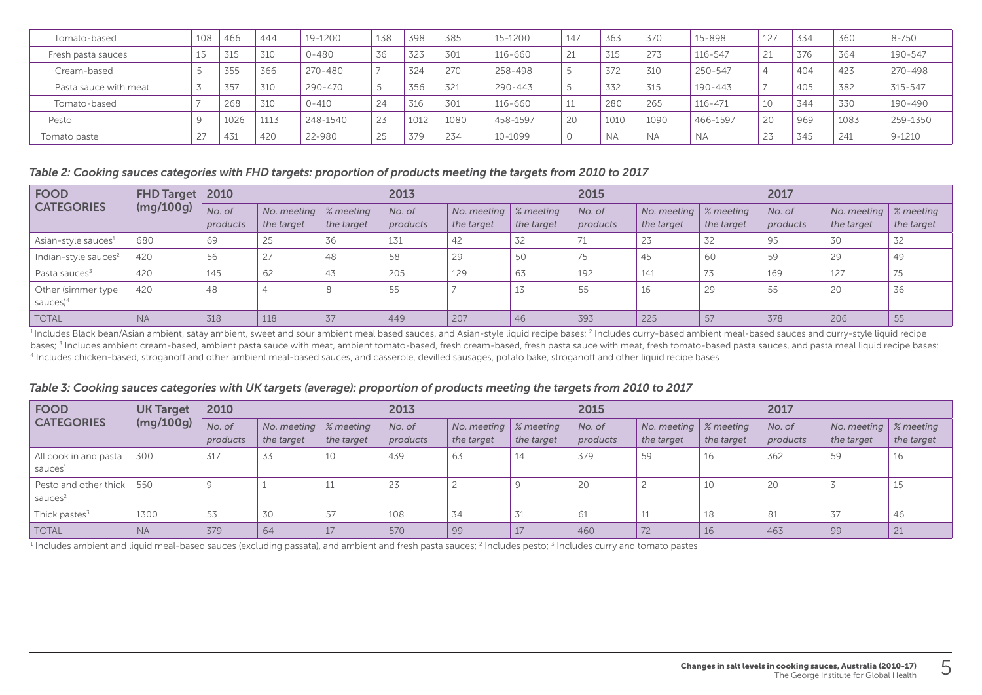| Tomato-based          | 108 | 466  | 444  | 19-1200     | 138            | 398  | 385  | 15-1200     | 147 | 363       | 370       | 15-898      | 127    | 334 | 360  | $8 - 750$  |
|-----------------------|-----|------|------|-------------|----------------|------|------|-------------|-----|-----------|-----------|-------------|--------|-----|------|------------|
| Fresh pasta sauces    | 15  | 315  | 310  | 0-480       | 36             | 323  | 301  | 116-660     | 21  | 315       | 273       | 116-547     | 21     | 376 | 364  | 190-547    |
| Cream-based           |     | 355  | 366  | $270 - 480$ |                | 324  | 270  | 258-498     |     | 372       | 310       | 250-547     |        | 404 | 423  | 270-498    |
| Pasta sauce with meat |     | 357  | 310  | $290 - 470$ | $\overline{a}$ | 356  | 321  | $290 - 443$ |     | 332       | 315       | 190-443     |        | 405 | 382  | 315-547    |
| Tomato-based          |     | 268  | 310  | $0 - 410$   | 24             | 316  | 301  | 116-660     |     | 280       | 265       | $116 - 471$ | 10     | 344 | 330  | 190-490    |
| Pesto                 |     | 1026 | 1113 | 248-1540    | 23             | 1012 | 1080 | 458-1597    | 20  | 1010      | 1090      | 466-1597    | 20     | 969 | 1083 | 259-1350   |
| Tomato paste          |     | 431  | 420  | 22-980      | 25             | 379  | 234  | 10-1099     | ◡   | <b>NA</b> | <b>NA</b> | <b>NA</b>   | $\sim$ | 345 | 241  | $9 - 1210$ |

#### *Table 2: Cooking sauces categories with FHD targets: proportion of products meeting the targets from 2010 to 2017*

| <b>FOOD</b>                        | FHD Target   2010<br>(mg/100g) |                    |                                                 |            | 2013               |                                                 |            | 2015               |                                                 |            | 2017               |                                                 |            |
|------------------------------------|--------------------------------|--------------------|-------------------------------------------------|------------|--------------------|-------------------------------------------------|------------|--------------------|-------------------------------------------------|------------|--------------------|-------------------------------------------------|------------|
| <b>CATEGORIES</b>                  |                                | No. of<br>products | No. meeting $\frac{1}{2}$ meeting<br>the target | the target | No. of<br>products | No. meeting $\frac{1}{2}$ meeting<br>the target | the target | No. of<br>products | No. meeting $\frac{1}{2}$ meeting<br>the target | the target | No. of<br>products | No. meeting $\frac{1}{2}$ meeting<br>the target | the target |
| Asian-style sauces <sup>1</sup>    | 680                            | 69                 | 25                                              | 36         | 131                | 42                                              | 32         | 71                 | 23                                              | 32         | 95                 | 30                                              | 32         |
| Indian-style sauces <sup>2</sup>   | 420                            | 56                 | 27                                              | 48         | 58                 | 29                                              | 50         | 75                 | 45                                              | 60         | 59                 | 29                                              | 49         |
| Pasta sauces <sup>3</sup>          | 420                            | 145                | 62                                              | 43         | 205                | 129                                             | 63         | 192                | 141                                             |            | 169                | 127                                             | 75         |
| Other (simmer type<br>sauces $)^4$ | 420                            | 48                 |                                                 |            | 55                 |                                                 | 17<br>⊥◡   | 55                 | 16                                              | 29         | 55                 | 20                                              | 36         |
| <b>TOTAL</b>                       | <b>NA</b>                      | 318                | 118                                             | 37         | 449                | 207                                             | 46         | 393                | 225                                             | 57         | 378                | 206                                             | 55         |

<sup>1</sup> Includes Black bean/Asian ambient, satay ambient, sweet and sour ambient meal based sauces, and Asian-style liquid recipe bases; <sup>2</sup> Includes curry-based ambient meal-based sauces and curry-style liquid recipe bases; <sup>3</sup> Includes ambient cream-based, ambient pasta sauce with meat, ambient tomato-based, fresh cream-based, fresh pasta sauce with meat, fresh tomato-based pasta sauces, and pasta meal liquid recipe bases; 4 Includes chicken-based, stroganoff and other ambient meal-based sauces, and casserole, devilled sausages, potato bake, stroganoff and other liquid recipe bases

#### *Table 3: Cooking sauces categories with UK targets (average): proportion of products meeting the targets from 2010 to 2017*

| <b>FOOD</b>                                  | <b>UK Target</b><br>(mg/100g) | 2010               |                                       |            | 2013               |                                                 |            | 2015               |                                       |            | 2017               |                                                 |            |
|----------------------------------------------|-------------------------------|--------------------|---------------------------------------|------------|--------------------|-------------------------------------------------|------------|--------------------|---------------------------------------|------------|--------------------|-------------------------------------------------|------------|
| <b>CATEGORIES</b>                            |                               | No. of<br>products | No. meeting   % meeting<br>the target | the target | No. of<br>products | No. meeting $\frac{1}{2}$ meeting<br>the target | the target | No. of<br>products | No. meeting   % meeting<br>the target | the target | No. of<br>products | No. meeting $\frac{1}{2}$ meeting<br>the target | the target |
| All cook in and pasta<br>sauces <sup>1</sup> | 300                           | 317                | 33                                    | 10         | 439                | 63                                              | 14         | 379                | 59                                    | 16         | 362                | 59                                              | 16         |
| Pesto and other thick<br>sauces <sup>2</sup> | 550                           |                    |                                       | 11<br>ᆠ    | 23                 |                                                 |            | 20                 |                                       | 10         | 20                 |                                                 | 15         |
| Thick pastes <sup>3</sup>                    | 1300                          | 53                 | 30                                    | 57         | 108                | 34                                              | 31         | 61                 | 11                                    | 18         | 81                 | 37                                              | 46         |
| <b>TOTAL</b>                                 | <b>NA</b>                     | 379                | 64                                    | 17         | 570                | 99                                              |            | 460                | 72                                    | 16         | 463                | 99                                              | 21         |

 $^{\rm 1}$  Includes ambient and liquid meal-based sauces (excluding passata), and ambient and fresh pasta sauces; <sup>2</sup> Includes pesto; <sup>3</sup> Includes curry and tomato pastes